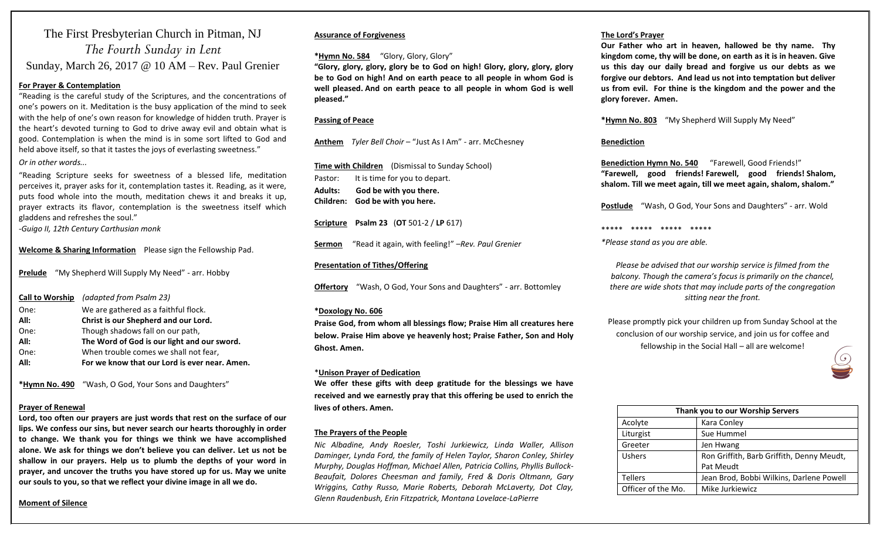## The First Presbyterian Church in Pitman, NJ *The Fourth Sunday in Lent* Sunday, March 26, 2017 @ 10 AM – Rev. Paul Grenier

#### **For Prayer & Contemplation**

"Reading is the careful study of the Scriptures, and the concentrations of one's powers on it. Meditation is the busy application of the mind to seek with the help of one's own reason for knowledge of hidden truth. Prayer is the heart's devoted turning to God to drive away evil and obtain what is good. Contemplation is when the mind is in some sort lifted to God and held above itself, so that it tastes the joys of everlasting sweetness." *Or in other words...*

"Reading Scripture seeks for sweetness of a blessed life, meditation perceives it, prayer asks for it, contemplation tastes it. Reading, as it were, puts food whole into the mouth, meditation chews it and breaks it up, prayer extracts its flavor, contemplation is the sweetness itself which gladdens and refreshes the soul."

-*Guigo II, 12th Century Carthusian monk*

**Welcome & Sharing Information** Please sign the Fellowship Pad.

**Prelude** "My Shepherd Will Supply My Need" - arr. Hobby

| All: | For we know that our Lord is ever near. Amen. |
|------|-----------------------------------------------|
| One: | When trouble comes we shall not fear,         |
| All: | The Word of God is our light and our sword.   |
| One: | Though shadows fall on our path,              |
| All: | Christ is our Shepherd and our Lord.          |
| One: | We are gathered as a faithful flock.          |
|      | Call to Worship (adapted from Psalm 23)       |

**\*Hymn No. 490** "Wash, O God, Your Sons and Daughters"

#### **Prayer of Renewal**

**Lord, too often our prayers are just words that rest on the surface of our lips. We confess our sins, but never search our hearts thoroughly in order to change. We thank you for things we think we have accomplished alone. We ask for things we don't believe you can deliver. Let us not be shallow in our prayers. Help us to plumb the depths of your word in prayer, and uncover the truths you have stored up for us. May we unite our souls to you, so that we reflect your divine image in all we do.**

#### **Assurance of Forgiveness**

#### **\*Hymn No. 584** "Glory, Glory, Glory"

**"Glory, glory, glory, glory be to God on high! Glory, glory, glory, glory be to God on high! And on earth peace to all people in whom God is well pleased. And on earth peace to all people in whom God is well pleased."**

#### **Passing of Peace**

**Anthem** *Tyler Bell Choir* – "Just As I Am" - arr. McChesney

**Time with Children** (Dismissal to Sunday School) Pastor: It is time for you to depart. **Adults: God be with you there. Children: God be with you here.**

**Scripture Psalm 23** (**OT** 501-2 / **LP** 617)

**Sermon** "Read it again, with feeling!" –*Rev. Paul Grenier*

#### **Presentation of Tithes/Offering**

**Offertory** "Wash, O God, Your Sons and Daughters" - arr. Bottomley

#### **\*Doxology No. 606**

**Praise God, from whom all blessings flow; Praise Him all creatures here below. Praise Him above ye heavenly host; Praise Father, Son and Holy Ghost. Amen.**

#### \***Unison Prayer of Dedication**

**We offer these gifts with deep gratitude for the blessings we have received and we earnestly pray that this offering be used to enrich the lives of others. Amen.**

#### **The Prayers of the People**

*Nic Albadine, Andy Roesler, Toshi Jurkiewicz, Linda Waller, Allison Daminger, Lynda Ford, the family of Helen Taylor, Sharon Conley, Shirley Murphy, Douglas Hoffman, Michael Allen, Patricia Collins, Phyllis Bullock-Beaufait, Dolores Cheesman and family, Fred & Doris Oltmann, Gary Wriggins, Cathy Russo, Marie Roberts, Deborah McLaverty, Dot Clay, Glenn Raudenbush, Erin Fitzpatrick, Montana Lovelace-LaPierre*

#### **The Lord's Prayer**

**Our Father who art in heaven, hallowed be thy name. Thy kingdom come, thy will be done, on earth as it is in heaven. Give us this day our daily bread and forgive us our debts as we forgive our debtors. And lead us not into temptation but deliver us from evil. For thine is the kingdom and the power and the glory forever. Amen.** 

**\*Hymn No. 803** "My Shepherd Will Supply My Need"

#### **Benediction**

**Benediction Hymn No. 540** "Farewell, Good Friends!" **"Farewell, good friends! Farewell, good friends! Shalom, shalom. Till we meet again, till we meet again, shalom, shalom."**

**Postlude** "Wash, O God, Your Sons and Daughters" - arr. Wold

\*\*\*\*\* \*\*\*\*\* \*\*\*\*\* \*\*\*\*\*

*\*Please stand as you are able.*

*Please be advised that our worship service is filmed from the balcony. Though the camera's focus is primarily on the chancel, there are wide shots that may include parts of the congregation sitting near the front.*

Please promptly pick your children up from Sunday School at the conclusion of our worship service, and join us for coffee and fellowship in the Social Hall – all are welcome!



| Thank you to our Worship Servers |                                           |  |
|----------------------------------|-------------------------------------------|--|
| Acolyte                          | Kara Conley                               |  |
| Liturgist                        | Sue Hummel                                |  |
| Greeter                          | Jen Hwang                                 |  |
| Ushers                           | Ron Griffith, Barb Griffith, Denny Meudt, |  |
|                                  | Pat Meudt                                 |  |
| <b>Tellers</b>                   | Jean Brod, Bobbi Wilkins, Darlene Powell  |  |
| Officer of the Mo.               | Mike Jurkiewicz                           |  |

#### **Moment of Silence**